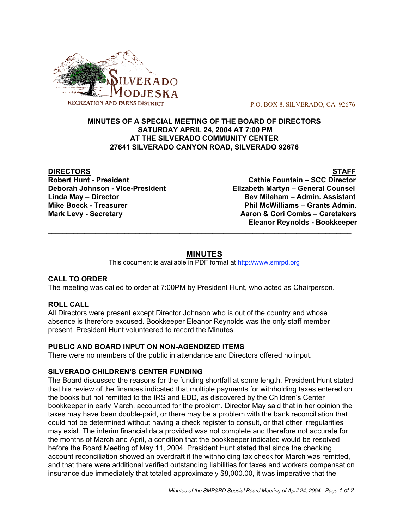

P.O. BOX 8, SILVERADO, CA 92676

### **MINUTES OF A SPECIAL MEETING OF THE BOARD OF DIRECTORS SATURDAY APRIL 24, 2004 AT 7:00 PM AT THE SILVERADO COMMUNITY CENTER 27641 SILVERADO CANYON ROAD, SILVERADO 92676**

**DIRECTORS STAFF**

**Robert Hunt - President Cathie Fountain – SCC Director Deborah Johnson - Vice-President Elizabeth Martyn – General Counsel Linda May – Director Bev Mileham – Admin. Assistant Mike Boeck - Treasurer Phil McWilliams – Grants Admin. Mark Levy - Secretary Aaron & Cori Combs – Caretakers Eleanor Reynolds - Bookkeeper**  $\mathcal{L}_\text{max}$  , and the contribution of the contribution of the contribution of the contribution of the contribution of the contribution of the contribution of the contribution of the contribution of the contribution of t

# **MINUTES**

This document is available in PDF format at http://www.smrpd.org

## **CALL TO ORDER**

The meeting was called to order at 7:00PM by President Hunt, who acted as Chairperson.

#### **ROLL CALL**

All Directors were present except Director Johnson who is out of the country and whose absence is therefore excused. Bookkeeper Eleanor Reynolds was the only staff member present. President Hunt volunteered to record the Minutes.

#### **PUBLIC AND BOARD INPUT ON NON-AGENDIZED ITEMS**

There were no members of the public in attendance and Directors offered no input.

### **SILVERADO CHILDREN'S CENTER FUNDING**

The Board discussed the reasons for the funding shortfall at some length. President Hunt stated that his review of the finances indicated that multiple payments for withholding taxes entered on the books but not remitted to the IRS and EDD, as discovered by the Children's Center bookkeeper in early March, accounted for the problem. Director May said that in her opinion the taxes may have been double-paid, or there may be a problem with the bank reconciliation that could not be determined without having a check register to consult, or that other irregularities may exist. The interim financial data provided was not complete and therefore not accurate for the months of March and April, a condition that the bookkeeper indicated would be resolved before the Board Meeting of May 11, 2004. President Hunt stated that since the checking account reconciliation showed an overdraft if the withholding tax check for March was remitted, and that there were additional verified outstanding liabilities for taxes and workers compensation insurance due immediately that totaled approximately \$8,000.00, it was imperative that the